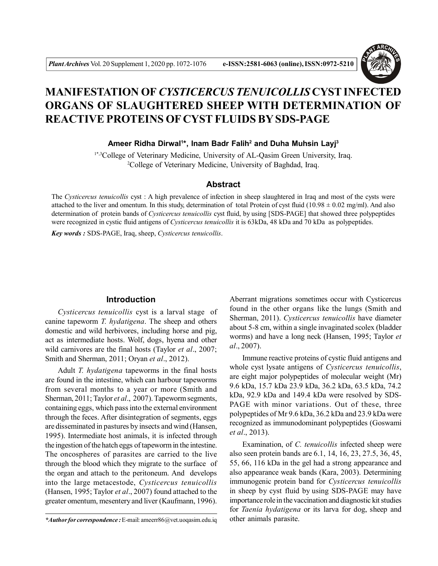

# **MANIFESTATION OF** *CYSTICERCUS TENUICOLLIS* **CYST INFECTED ORGANS OF SLAUGHTERED SHEEP WITH DETERMINATION OF REACTIVE PROTEINS OF CYST FLUIDS BY SDS-PAGE**

**Ameer Ridha Dirwal<sup>1</sup> \*, Inam Badr Falih<sup>2</sup> and Duha Muhsin Layj<sup>3</sup>**

1\*,3College of Veterinary Medicine, University of AL-Qasim Green University, Iraq. <sup>2</sup>College of Veterinary Medicine, University of Baghdad, Iraq.

## **Abstract**

The *Cysticercus tenuicollis* cyst : A high prevalence of infection in sheep slaughtered in Iraq and most of the cysts were attached to the liver and omentum. In this study, determination of total Protein of cyst fluid (10.98  $\pm$  0.02 mg/ml). And also determination of protein bands of *Cysticercus tenuicollis* cyst fluid, by using [SDS-PAGE] that showed three polypeptides were recognized in cystic fluid antigens of *Cysticercus tenuicollis* it is 63kDa, 48 kDa and 70 kDa as polypeptides.

*Key words :* SDS-PAGE, Iraq, sheep, *Cysticercus tenuicollis*.

#### **Introduction**

*Cysticercus tenuicollis* cyst is a larval stage of canine tapeworm *T. hydatigena*. The sheep and others domestic and wild herbivores, including horse and pig, act as intermediate hosts. Wolf, dogs, hyena and other wild carnivores are the final hosts (Taylor *et al*., 2007; Smith and Sherman, 2011; Oryan *et al*., 2012).

Adult *T. hydatigena* tapeworms in the final hosts are found in the intestine, which can harbour tapeworms from several months to a year or more (Smith and Sherman, 2011; Taylor *et al*., 2007). Tapeworm segments, containing eggs, which pass into the external environment through the feces. After disintegration of segments, eggs are disseminated in pastures by insects and wind (Hansen, 1995). Intermediate host animals, it is infected through the ingestion of the hatch eggs of tapeworm in the intestine. The oncospheres of parasites are carried to the live through the blood which they migrate to the surface of the organ and attach to the peritoneum. And develops into the large metacestode, *Cysticercus tenuicollis* (Hansen, 1995; Taylor *et al*., 2007) found attached to the greater omentum, mesentery and liver (Kaufmann, 1996).

Aberrant migrations sometimes occur with Cysticercus found in the other organs like the lungs (Smith and Sherman, 2011). *Cysticercus tenuicollis* have diameter about 5-8 cm, within a single invaginated scolex (bladder worms) and have a long neck (Hansen, 1995; Taylor *et al*., 2007).

Immune reactive proteins of cystic fluid antigens and whole cyst lysate antigens of *Cysticercus tenuicollis*, are eight major polypeptides of molecular weight (Mr) 9.6 kDa, 15.7 kDa 23.9 kDa, 36.2 kDa, 63.5 kDa, 74.2 kDa, 92.9 kDa and 149.4 kDa were resolved by SDS-PAGE with minor variations. Out of these, three polypeptides of Mr 9.6 kDa, 36.2 kDa and 23.9 kDa were recognized as immunodominant polypeptides (Goswami *et al*., 2013).

Examination, of *C. tenuicollis* infected sheep were also seen protein bands are 6.1, 14, 16, 23, 27.5, 36, 45, 55, 66, 116 kDa in the gel had a strong appearance and also appearance weak bands (Kara, 2003). Determining immunogenic protein band for *Cysticercus tenuicollis* in sheep by cyst fluid by using SDS-PAGE may have importance role in the vaccination and diagnostic kit studies for *Taenia hydatigena* or its larva for dog, sheep and other animals parasite.

*<sup>\*</sup>Author for correspondence :* E-mail: ameerr86@vet.uoqasim.edu.iq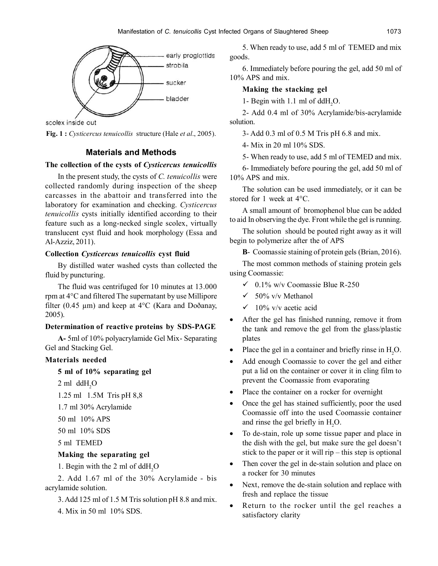

scolex inside out

**Fig. 1 :** *Cysticercus tenuicollis* structure (Hale *et al*., 2005).

## **Materials and Methods**

# **The collection of the cysts of** *Cysticercus tenuicollis*

In the present study, the cysts of *C. tenuicollis* were collected randomly during inspection of the sheep carcasses in the abattoir and transferred into the laboratory for examination and checking. *Cysticercus tenuicollis* cysts initially identified according to their feature such as a long-necked single scolex, virtually translucent cyst fluid and hook morphology (Essa and Al-Azziz, 2011).

## **Collection** *Cysticercus tenuicollis* **cyst fluid**

By distilled water washed cysts than collected the fluid by puncturing.

The fluid was centrifuged for 10 minutes at 13.000 rpm at 4°C and filtered The supernatant by use Millipore filter (0.45  $\mu$ m) and keep at 4°C (Kara and Doðanay, 2005).

## **Determination of reactive proteins by SDS-PAGE**

**A-** 5ml of 10% polyacrylamide Gel Mix- Separating Gel and Stacking Gel.

## **Materials needed**

# **5 ml of 10% separating gel**

 $2$  ml ddH<sub>2</sub>O

1.25 ml 1.5M Tris pH 8,8

1.7 ml 30% Acrylamide

- 50 ml 10% APS
- 50 ml 10% SDS

5 ml TEMED

### **Making the separating gel**

1. Begin with the 2 ml of ddH<sub>2</sub>O

2. Add 1.67 ml of the 30% Acrylamide - bis acrylamide solution.

3. Add 125 ml of 1.5 M Tris solution pH 8.8 and mix.

4. Mix in 50 ml 10% SDS.

5. When ready to use, add 5 ml of TEMED and mix goods.

6. Immediately before pouring the gel, add 50 ml of 10% APS and mix.

## **Making the stacking gel**

1- Begin with 1.1 ml of  $ddH<sub>2</sub>O$ .

2- Add 0.4 ml of 30% Acrylamide/bis-acrylamide solution.

3- Add 0.3 ml of 0.5 M Tris pH 6.8 and mix.

4- Mix in 20 ml 10% SDS.

5- When ready to use, add 5 ml of TEMED and mix.

6- Immediately before pouring the gel, add 50 ml of 10% APS and mix.

The solution can be used immediately, or it can be stored for 1 week at 4°C.

A small amount of bromophenol blue can be added to aid In observing the dye. Front while the gel is running.

The solution should be pouted right away as it will begin to polymerize after the of APS

**B**- Coomassie staining of protein gels (Brian, 2016).

The most common methods of staining protein gels using Coomassie:

- $\checkmark$  0.1% w/v Coomassie Blue R-250
- $\checkmark$  50% v/v Methanol
- $\checkmark$  10% v/v acetic acid
- After the gel has finished running, remove it from the tank and remove the gel from the glass/plastic plates
- Place the gel in a container and briefly rinse in H<sub>2</sub>O.
- Add enough Coomassie to cover the gel and either put a lid on the container or cover it in cling film to prevent the Coomassie from evaporating
- Place the container on a rocker for overnight
- Once the gel has stained sufficiently, poor the used Coomassie off into the used Coomassie container and rinse the gel briefly in H<sub>2</sub>O.
- To de-stain, role up some tissue paper and place in the dish with the gel, but make sure the gel doesn't stick to the paper or it will rip – this step is optional
- Then cover the gel in de-stain solution and place on a rocker for 30 minutes
- Next, remove the de-stain solution and replace with fresh and replace the tissue
- Return to the rocker until the gel reaches a satisfactory clarity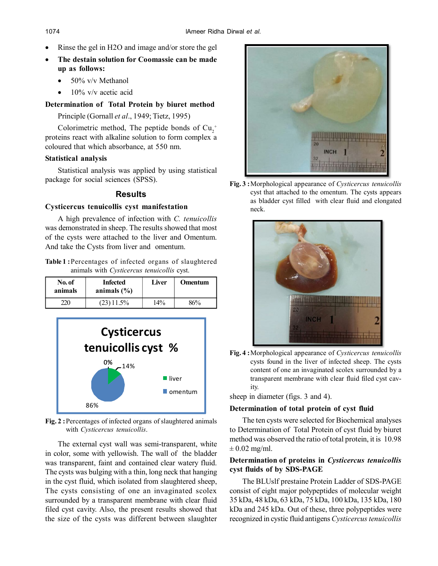- Rinse the gel in H2O and image and/or store the gel
- **The destain solution for Coomassie can be made up as follows:**
	- $\bullet$  50% v/v Methanol
	- 10% v/v acetic acid

**Determination of Total Protein by biuret method**

Principle (Gornall *et al*., 1949; Tietz, 1995)

Colorimetric method, The peptide bonds of  $Cu_2^+$ proteins react with alkaline solution to form complex a coloured that which absorbance, at 550 nm.

### **Statistical analysis**

Statistical analysis was applied by using statistical package for social sciences (SPSS).

## **Results**

### **Cysticercus tenuicollis cyst manifestation**

A high prevalence of infection with *C. tenuicollis* was demonstrated in sheep. The results showed that most of the cysts were attached to the liver and Omentum. And take the Cysts from liver and omentum.

| <b>Table 1:</b> Percentages of infected organs of slaughtered |  |                                            |  |  |
|---------------------------------------------------------------|--|--------------------------------------------|--|--|
|                                                               |  | animals with Cysticercus tenuicollis cyst. |  |  |

| No. of<br>animals | <b>Infected</b><br>animals $(\% )$ | Liver | Omentum |
|-------------------|------------------------------------|-------|---------|
| $220 -$           | $(23)$ 11.5%                       | 14%   | 86%     |



**Fig. 2 :**Percentages of infected organs of slaughtered animals with *Cysticercus tenuicollis*.

The external cyst wall was semi-transparent, white in color, some with yellowish. The wall of the bladder was transparent, faint and contained clear watery fluid. The cysts was bulging with a thin, long neck that hanging in the cyst fluid, which isolated from slaughtered sheep, The cysts consisting of one an invaginated scolex surrounded by a transparent membrane with clear fluid filed cyst cavity. Also, the present results showed that the size of the cysts was different between slaughter



**Fig. 3 :**Morphological appearance of *Cysticercus tenuicollis* cyst that attached to the omentum. The cysts appears as bladder cyst filled with clear fluid and elongated neck.



**Fig. 4 :**Morphological appearance of *Cysticercus tenuicollis* cysts found in the liver of infected sheep. The cysts content of one an invaginated scolex surrounded by a transparent membrane with clear fluid filed cyst cavity.

sheep in diameter (figs. 3 and 4).

### **Determination of total protein of cyst fluid**

The ten cysts were selected for Biochemical analyses to Determination of Total Protein of cyst fluid by biuret method was observed the ratio of total protein, it is 10.98  $\pm$  0.02 mg/ml.

## **Determination of proteins in** *Cysticercus tenuicollis* **cyst fluids of by SDS-PAGE**

The BLUslf prestaine Protein Ladder of SDS-PAGE consist of eight major polypeptides of molecular weight 35 kDa, 48 kDa, 63 kDa, 75 kDa, 100 kDa, 135 kDa, 180 kDa and 245 kDa. Out of these, three polypeptides were recognized in cystic fluid antigens *Cysticercus tenuicollis*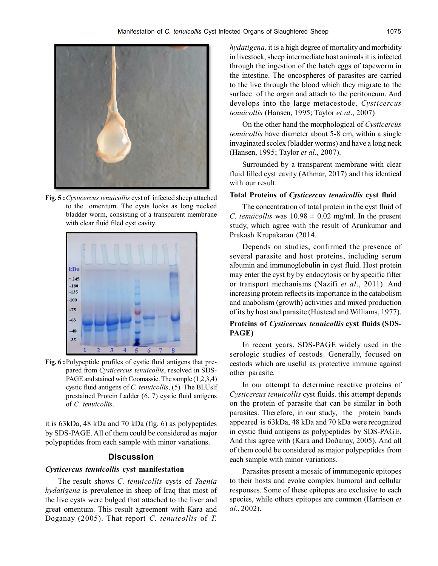

**Fig. 5 :***Cysticercus tenuicollis* cyst of infected sheep attached to the omentum. The cysts looks as long necked bladder worm, consisting of a transparent membrane with clear fluid filed cyst cavity.



**Fig. 6 :**Polypeptide profiles of cystic fluid antigens that prepared from *Cysticercus tenuicollis*, resolved in SDS-PAGE and stained with Coomassie. The sample (1,2,3,4) cystic fluid antigens of *C. tenuicollis*, (5) The BLUslf prestained Protein Ladder (6, 7) cystic fluid antigens of *C. tenuicollis*.

it is 63kDa, 48 kDa and 70 kDa (fig. 6) as polypeptides by SDS-PAGE. All of them could be considered as major polypeptides from each sample with minor variations.

## **Discussion**

#### *Cysticercus tenuicollis* **cyst manifestation**

The result shows *C. tenuicollis* cysts of *Taenia hydatigena* is prevalence in sheep of Iraq that most of the live cysts were bulged that attached to the liver and great omentum. This result agreement with Kara and Doganay (2005). That report *C. tenuicollis* of *T.*

*hydatigena*, it is a high degree of mortality and morbidity in livestock, sheep intermediate host animals it is infected through the ingestion of the hatch eggs of tapeworm in the intestine. The oncospheres of parasites are carried to the live through the blood which they migrate to the surface of the organ and attach to the peritoneum. And develops into the large metacestode, *Cysticercus tenuicollis* (Hansen, 1995; Taylor *et al*., 2007)

On the other hand the morphological of *Cysticercus tenuicollis* have diameter about 5-8 cm, within a single invaginated scolex (bladder worms) and have a long neck (Hansen, 1995; Taylor *et al*., 2007).

Surrounded by a transparent membrane with clear fluid filled cyst cavity (Athmar, 2017) and this identical with our result.

#### **Total Proteins of** *Cysticercus tenuicollis* **cyst fluid**

The concentration of total protein in the cyst fluid of *C. tenuicollis* was  $10.98 \pm 0.02$  mg/ml. In the present study, which agree with the result of Arunkumar and Prakash Krupakaran (2014.

Depends on studies, confirmed the presence of several parasite and host proteins, including serum albumin and immunoglobulin in cyst fluid. Host protein may enter the cyst by by endocytosis or by specific filter or transport mechanisms (Nazifi *et al*., 2011). And increasing protein reflects its importance in the catabolism and anabolism (growth) activities and mixed production of its by host and parasite (Hustead and Williams, 1977).

### **Proteins of** *Cysticercus tenuicollis* **cyst fluids (SDS-PAGE)**

In recent years, SDS-PAGE widely used in the serologic studies of cestods. Generally, focused on cestods which are useful as protective immune against other parasite.

In our attempt to determine reactive proteins of *Cysticercus tenuicollis* cyst fluids. this attempt depends on the protein of parasite that can be similar in both parasites. Therefore, in our study, the protein bands appeared is 63kDa, 48 kDa and 70 kDa were recognized in cystic fluid antigens as polypeptides by SDS-PAGE. And this agree with (Kara and Doðanay, 2005). And all of them could be considered as major polypeptides from each sample with minor variations.

Parasites present a mosaic of immunogenic epitopes to their hosts and evoke complex humoral and cellular responses. Some of these epitopes are exclusive to each species, while others epitopes are common (Harrison *et al*., 2002).